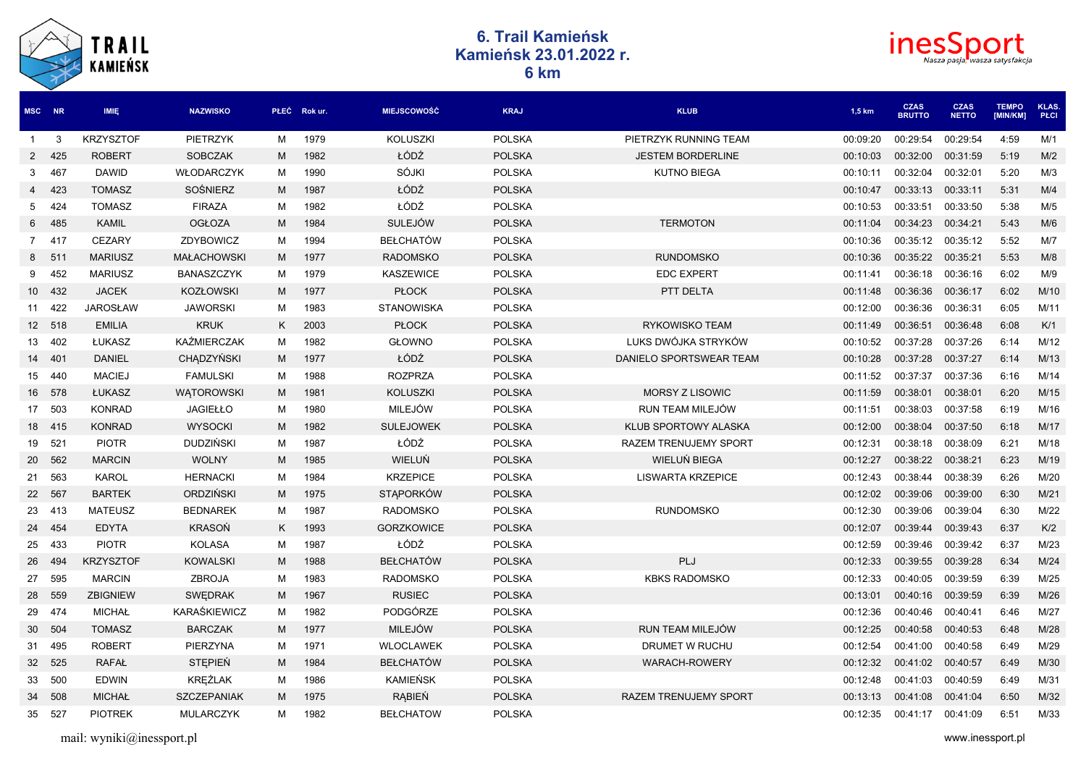| <b>TRAIL</b><br><b>KAMIEŃSK</b> |        |                  | 6. Trail Kamieńsk<br>Kamieńsk 23.01.2022 r.<br>6 km |   |             |                    |               |                          |          |                              | <b>ines</b><br>Nasza pasja <mark>,</mark> wasza satysfakcja |                          |               |  |  |
|---------------------------------|--------|------------------|-----------------------------------------------------|---|-------------|--------------------|---------------|--------------------------|----------|------------------------------|-------------------------------------------------------------|--------------------------|---------------|--|--|
|                                 | MSC NR | <b>IMIĘ</b>      | <b>NAZWISKO</b>                                     |   | PŁEĆ Rokur. | <b>MIEJSCOWOŚĆ</b> | <b>KRAJ</b>   | <b>KLUB</b>              | 1,5 km   | <b>CZAS</b><br><b>BRUTTO</b> | <b>CZAS</b><br><b>NETTO</b>                                 | <b>TEMPO</b><br>[MIN/KM] | KLAS.<br>PŁCI |  |  |
| $\mathbf{1}$                    | 3      | <b>KRZYSZTOF</b> | <b>PIETRZYK</b>                                     | М | 1979        | <b>KOLUSZKI</b>    | <b>POLSKA</b> | PIETRZYK RUNNING TEAM    | 00:09:20 | 00:29:54                     | 00:29:54                                                    | 4:59                     | M/1           |  |  |
| 2                               | 425    | <b>ROBERT</b>    | <b>SOBCZAK</b>                                      | M | 1982        | ŁÓDŹ               | <b>POLSKA</b> | <b>JESTEM BORDERLINE</b> | 00:10:03 | 00:32:00                     | 00:31:59                                                    | 5:19                     | M/2           |  |  |
| 3                               | 467    | <b>DAWID</b>     | <b>WŁODARCZYK</b>                                   | M | 1990        | SÓJKI              | <b>POLSKA</b> | <b>KUTNO BIEGA</b>       | 00:10:11 | 00:32:04                     | 00:32:01                                                    | 5:20                     | M/3           |  |  |
| 4                               | 423    | <b>TOMASZ</b>    | SOŚNIERZ                                            | M | 1987        | ŁÓDŹ               | <b>POLSKA</b> |                          | 00:10:47 | 00:33:13                     | 00:33:11                                                    | 5:31                     | M/4           |  |  |
| 5                               | 424    | <b>TOMASZ</b>    | <b>FIRAZA</b>                                       | м | 1982        | ŁÓDŹ               | <b>POLSKA</b> |                          | 00:10:53 | 00:33:51                     | 00:33:50                                                    | 5:38                     | M/5           |  |  |
| 6                               | 485    | KAMIL            | <b>OGŁOZA</b>                                       | M | 1984        | <b>SULEJÓW</b>     | <b>POLSKA</b> | <b>TERMOTON</b>          | 00:11:04 | 00:34:23                     | 00:34:21                                                    | 5:43                     | M/6           |  |  |
|                                 | 7 417  | <b>CEZARY</b>    | ZDYBOWICZ                                           | м | 1994        | <b>BEŁCHATÓW</b>   | <b>POLSKA</b> |                          | 00:10:36 | 00:35:12                     | 00:35:12                                                    | 5:52                     | M/7           |  |  |
| 8                               | 511    | <b>MARIUSZ</b>   | <b>MAŁACHOWSKI</b>                                  | M | 1977        | <b>RADOMSKO</b>    | <b>POLSKA</b> | <b>RUNDOMSKO</b>         | 00:10:36 | 00:35:22 00:35:21            |                                                             | 5:53                     | M/8           |  |  |
| 9                               | 452    | <b>MARIUSZ</b>   | BANASZCZYK                                          | м | 1979        | <b>KASZEWICE</b>   | <b>POLSKA</b> | <b>EDC EXPERT</b>        | 00:11:41 | 00:36:18                     | 00:36:16                                                    | 6:02                     | M/9           |  |  |
|                                 | 10 432 | <b>JACEK</b>     | <b>KOZŁOWSKI</b>                                    | M | 1977        | <b>PŁOCK</b>       | <b>POLSKA</b> | PTT DELTA                | 00:11:48 | 00:36:36                     | 00:36:17                                                    | 6:02                     | M/10          |  |  |
|                                 | 11 422 | <b>JAROSŁAW</b>  | <b>JAWORSKI</b>                                     | м | 1983        | <b>STANOWISKA</b>  | <b>POLSKA</b> |                          | 00:12:00 | 00:36:36                     | 00:36:31                                                    | 6:05                     | M/11          |  |  |
|                                 | 12 518 | <b>EMILIA</b>    | <b>KRUK</b>                                         | K | 2003        | <b>PŁOCK</b>       | <b>POLSKA</b> | <b>RYKOWISKO TEAM</b>    | 00:11:49 | 00:36:51                     | 00:36:48                                                    | 6:08                     | K/1           |  |  |
|                                 | 13 402 | ŁUKASZ           | <b>KAŹMIERCZAK</b>                                  | M | 1982        | <b>GŁOWNO</b>      | <b>POLSKA</b> | LUKS DWÓJKA STRYKÓW      | 00:10:52 | 00:37:28                     | 00:37:26                                                    | 6:14                     | M/12          |  |  |
|                                 | 14 401 | <b>DANIEL</b>    | <b>CHADZYŃSKI</b>                                   | M | 1977        | ŁÓDŹ               | <b>POLSKA</b> | DANIELO SPORTSWEAR TEAM  | 00:10:28 | 00:37:28                     | 00:37:27                                                    | 6:14                     | M/13          |  |  |
|                                 | 15 440 | <b>MACIEJ</b>    | <b>FAMULSKI</b>                                     | м | 1988        | <b>ROZPRZA</b>     | <b>POLSKA</b> |                          | 00:11:52 | 00:37:37                     | 00:37:36                                                    | 6:16                     | M/14          |  |  |
|                                 | 16 578 | ŁUKASZ           | <b>WATOROWSKI</b>                                   | M | 1981        | <b>KOLUSZKI</b>    | <b>POLSKA</b> | <b>MORSY Z LISOWIC</b>   | 00:11:59 | 00:38:01                     | 00:38:01                                                    | 6:20                     | M/15          |  |  |
|                                 | 17 503 | <b>KONRAD</b>    | <b>JAGIEŁŁO</b>                                     | м | 1980        | <b>MILEJÓW</b>     | <b>POLSKA</b> | RUN TEAM MILEJÓW         | 00:11:51 | 00:38:03                     | 00:37:58                                                    | 6:19                     | M/16          |  |  |
|                                 | 18 415 | <b>KONRAD</b>    | <b>WYSOCKI</b>                                      | M | 1982        | <b>SULEJOWEK</b>   | <b>POLSKA</b> | KLUB SPORTOWY ALASKA     | 00:12:00 | 00:38:04                     | 00:37:50                                                    | 6:18                     | M/17          |  |  |
|                                 | 19 521 | <b>PIOTR</b>     | <b>DUDZIŃSKI</b>                                    | м | 1987        | ŁÓDŹ               | <b>POLSKA</b> | RAZEM TRENUJEMY SPORT    | 00:12:31 | 00:38:18                     | 00:38:09                                                    | 6:21                     | M/18          |  |  |
| 20                              | 562    | <b>MARCIN</b>    | <b>WOLNY</b>                                        | M | 1985        | WIELUŃ             | <b>POLSKA</b> | WIELUŃ BIEGA             | 00:12:27 | 00:38:22                     | 00:38:21                                                    | 6:23                     | M/19          |  |  |
| 21                              | 563    | KAROL            | <b>HERNACKI</b>                                     | M | 1984        | <b>KRZEPICE</b>    | <b>POLSKA</b> | <b>LISWARTA KRZEPICE</b> | 00:12:43 | 00:38:44                     | 00:38:39                                                    | 6:26                     | M/20          |  |  |
|                                 | 22 567 | <b>BARTEK</b>    | ORDZIŃSKI                                           | M | 1975        | <b>STAPORKÓW</b>   | <b>POLSKA</b> |                          | 00:12:02 | 00:39:06                     | 00:39:00                                                    | 6:30                     | M/21          |  |  |
|                                 | 23 413 | <b>MATEUSZ</b>   | <b>BEDNAREK</b>                                     | M | 1987        | <b>RADOMSKO</b>    | <b>POLSKA</b> | <b>RUNDOMSKO</b>         | 00:12:30 | 00:39:06                     | 00:39:04                                                    | 6:30                     | M/22          |  |  |
|                                 | 24 454 | <b>EDYTA</b>     | <b>KRASOŃ</b>                                       | Κ | 1993        | GORZKOWICE         | <b>POLSKA</b> |                          | 00:12:07 | 00:39:44                     | 00:39:43                                                    | 6:37                     | K/2           |  |  |
|                                 | 25 433 | <b>PIOTR</b>     | <b>KOLASA</b>                                       | M | 1987        | ŁÓDŹ               | <b>POLSKA</b> |                          | 00:12:59 | 00:39:46                     | 00:39:42                                                    | 6:37                     | M/23          |  |  |
|                                 | 26 494 | <b>KRZYSZTOF</b> | <b>KOWALSKI</b>                                     | M | 1988        | <b>BEŁCHATÓW</b>   | <b>POLSKA</b> | PLJ                      | 00:12:33 | 00:39:55                     | 00:39:28                                                    | 6:34                     | M/24          |  |  |
| 27                              | 595    | <b>MARCIN</b>    | ZBROJA                                              | м | 1983        | <b>RADOMSKO</b>    | <b>POLSKA</b> | <b>KBKS RADOMSKO</b>     | 00:12:33 | 00:40:05                     | 00:39:59                                                    | 6:39                     | M/25          |  |  |
|                                 | 28 559 | <b>ZBIGNIEW</b>  | <b>SWEDRAK</b>                                      | М | 1967        | <b>RUSIEC</b>      | <b>POLSKA</b> |                          | 00:13:01 | 00:40:16                     | 00:39:59                                                    | 6:39                     | M/26          |  |  |
| 29                              | 474    | MICHAŁ           | KARASKIEWICZ                                        | м | 1982        | PODGÓRZE           | <b>POLSKA</b> |                          | 00:12:36 | 00:40:46 00:40:41            |                                                             | 6:46                     | M/27          |  |  |
|                                 | 30 504 | <b>TOMASZ</b>    | <b>BARCZAK</b>                                      | M | 1977        | <b>MILEJÓW</b>     | <b>POLSKA</b> | RUN TEAM MILEJÓW         | 00:12:25 | 00:40:58 00:40:53            |                                                             | 6:48                     | M/28          |  |  |
|                                 | 31 495 | <b>ROBERT</b>    | PIERZYNA                                            | М | 1971        | <b>WLOCLAWEK</b>   | <b>POLSKA</b> | DRUMET W RUCHU           | 00:12:54 | 00:41:00 00:40:58            |                                                             | 6:49                     | M/29          |  |  |
|                                 | 32 525 | RAFAŁ            | <b>STEPIEŃ</b>                                      | M | 1984        | <b>BEŁCHATÓW</b>   | <b>POLSKA</b> | <b>WARACH-ROWERY</b>     | 00:12:32 | 00:41:02 00:40:57            |                                                             | 6:49                     | M/30          |  |  |
|                                 | 33 500 | <b>EDWIN</b>     | KRĘŻLAK                                             | М | 1986        | KAMIEŃSK           | <b>POLSKA</b> |                          | 00:12:48 | 00:41:03 00:40:59            |                                                             | 6:49                     | M/31          |  |  |
|                                 | 34 508 | <b>MICHAŁ</b>    | <b>SZCZEPANIAK</b>                                  | M | 1975        | RĄBIEŃ             | <b>POLSKA</b> | RAZEM TRENUJEMY SPORT    | 00:13:13 | 00:41:08 00:41:04            |                                                             | 6:50                     | M/32          |  |  |
|                                 | 35 527 | <b>PIOTREK</b>   | MULARCZYK                                           |   | M 1982      | <b>BEŁCHATOW</b>   | <b>POLSKA</b> |                          | 00:12:35 | 00:41:17 00:41:09            |                                                             | 6:51                     | M/33          |  |  |

 $\widehat{\phantom{1}}$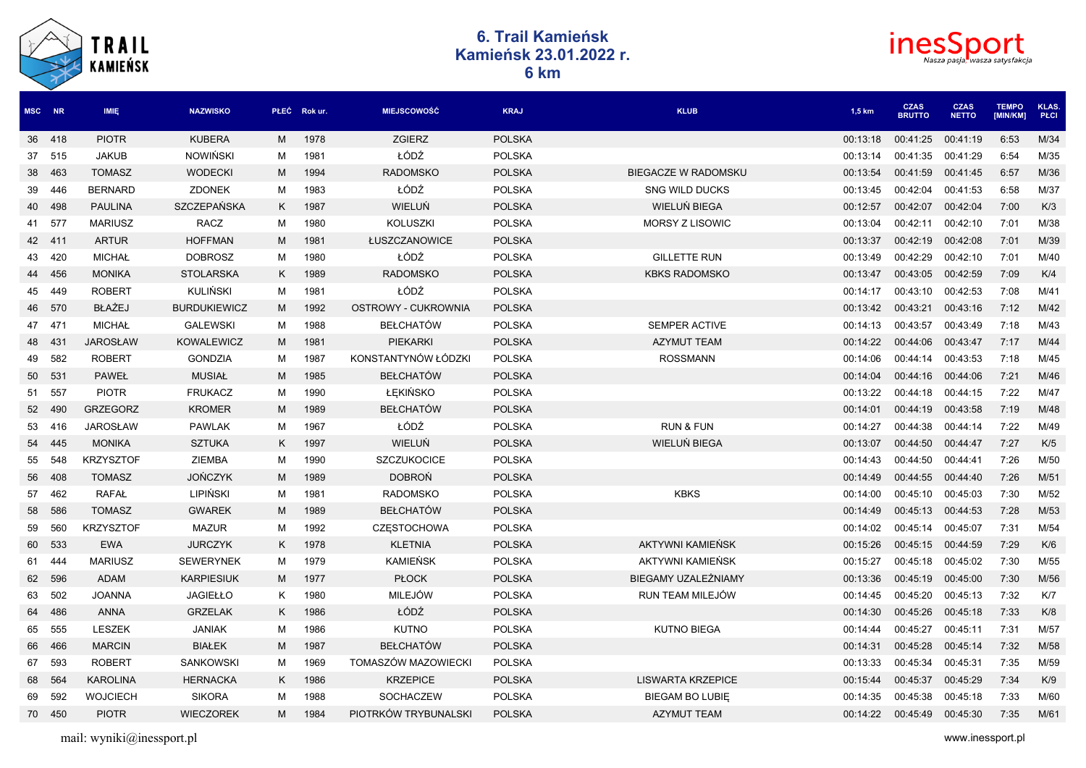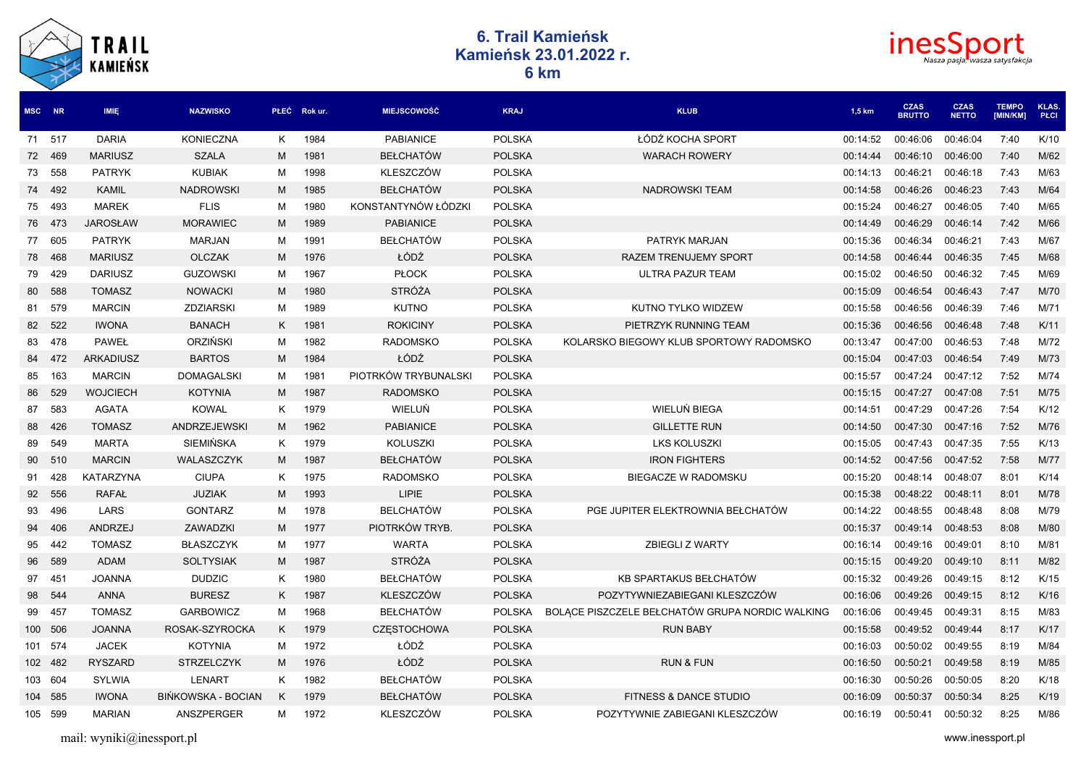| TRAIL<br><b>KAMIEŃSK</b> |
|--------------------------|
|                          |

## **6. Trail Kamieńsk Kamieńsk 23.01.2022 r. 6 km**



| <b>MSC</b> | <b>NR</b> | <b>IMIE</b>      | <b>NAZWISKO</b>     |   | PŁEĆ Rok ur. | <b>MIEJSCOWOŚĆ</b>   | <b>KRAJ</b>   | <b>KLUB</b>                                     | 1.5 km   | <b>CZAS</b><br><b>BRUTTO</b> | <b>CZAS</b><br><b>NETTO</b> | <b>TEMPO</b><br>[MIN/KM] | <b>KLAS</b><br><b>PŁCI</b> |
|------------|-----------|------------------|---------------------|---|--------------|----------------------|---------------|-------------------------------------------------|----------|------------------------------|-----------------------------|--------------------------|----------------------------|
|            | 71 517    | <b>DARIA</b>     | <b>KONIECZNA</b>    | K | 1984         | <b>PABIANICE</b>     | <b>POLSKA</b> | ŁÓDŹ KOCHA SPORT                                | 00:14:52 | 00:46:06                     | 00:46:04                    | 7:40                     | K/10                       |
|            | 72 469    | <b>MARIUSZ</b>   | <b>SZALA</b>        | M | 1981         | <b>BEŁCHATÓW</b>     | <b>POLSKA</b> | <b>WARACH ROWERY</b>                            | 00:14:44 | 00:46:10                     | 00:46:00                    | 7:40                     | M/62                       |
|            | 73 558    | <b>PATRYK</b>    | <b>KUBIAK</b>       | м | 1998         | <b>KLESZCZÓW</b>     | <b>POLSKA</b> |                                                 | 00:14:13 | 00:46:21                     | 00:46:18                    | 7:43                     | M/63                       |
|            | 74 492    | <b>KAMIL</b>     | <b>NADROWSKI</b>    | M | 1985         | <b>BEŁCHATÓW</b>     | <b>POLSKA</b> | <b>NADROWSKI TEAM</b>                           | 00:14:58 | 00:46:26                     | 00:46:23                    | 7:43                     | M/64                       |
|            | 75 493    | <b>MAREK</b>     | <b>FLIS</b>         | м | 1980         | KONSTANTYNÓW ŁÓDZKI  | <b>POLSKA</b> |                                                 | 00:15:24 | 00:46:27                     | 00:46:05                    | 7:40                     | M/65                       |
|            | 76 473    | <b>JAROSŁAW</b>  | <b>MORAWIEC</b>     | M | 1989         | <b>PABIANICE</b>     | <b>POLSKA</b> |                                                 | 00:14:49 | 00:46:29                     | 00:46:14                    | 7:42                     | M/66                       |
|            | 77 605    | <b>PATRYK</b>    | <b>MARJAN</b>       | М | 1991         | <b>BEŁCHATÓW</b>     | <b>POLSKA</b> | PATRYK MARJAN                                   | 00:15:36 | 00:46:34                     | 00:46:21                    | 7:43                     | M/67                       |
|            | 78 468    | <b>MARIUSZ</b>   | <b>OLCZAK</b>       | M | 1976         | ŁÓDŹ                 | <b>POLSKA</b> | <b>RAZEM TRENUJEMY SPORT</b>                    | 00:14:58 | 00:46:44                     | 00:46:35                    | 7:45                     | M/68                       |
|            | 79 429    | <b>DARIUSZ</b>   | <b>GUZOWSKI</b>     | M | 1967         | <b>PŁOCK</b>         | <b>POLSKA</b> | <b>ULTRA PAZUR TEAM</b>                         | 00:15:02 | 00:46:50                     | 00:46:32                    | 7:45                     | M/69                       |
|            | 80 588    | <b>TOMASZ</b>    | <b>NOWACKI</b>      | M | 1980         | <b>STRÓŻA</b>        | <b>POLSKA</b> |                                                 | 00:15:09 | 00:46:54                     | 00:46:43                    | 7:47                     | M/70                       |
|            | 81 579    | <b>MARCIN</b>    | <b>ZDZIARSKI</b>    | м | 1989         | <b>KUTNO</b>         | <b>POLSKA</b> | KUTNO TYLKO WIDZEW                              | 00:15:58 | 00:46:56                     | 00:46:39                    | 7:46                     | M/71                       |
|            | 82 522    | <b>IWONA</b>     | <b>BANACH</b>       | K | 1981         | <b>ROKICINY</b>      | <b>POLSKA</b> | PIETRZYK RUNNING TEAM                           | 00:15:36 | 00:46:56                     | 00:46:48                    | 7:48                     | K/11                       |
|            | 83 478    | <b>PAWEŁ</b>     | ORZIŃSKI            | м | 1982         | <b>RADOMSKO</b>      | <b>POLSKA</b> | KOLARSKO BIEGOWY KLUB SPORTOWY RADOMSKO         | 00:13:47 | 00:47:00                     | 00:46:53                    | 7:48                     | M/72                       |
|            | 84 472    | <b>ARKADIUSZ</b> | <b>BARTOS</b>       | M | 1984         | ŁÓDŹ                 | <b>POLSKA</b> |                                                 | 00:15:04 | 00:47:03                     | 00:46:54                    | 7:49                     | M/73                       |
|            | 85 163    | <b>MARCIN</b>    | <b>DOMAGALSKI</b>   | м | 1981         | PIOTRKÓW TRYBUNALSKI | <b>POLSKA</b> |                                                 | 00:15:57 | 00:47:24                     | 00:47:12                    | 7:52                     | M/74                       |
|            | 86 529    | <b>WOJCIECH</b>  | <b>KOTYNIA</b>      | M | 1987         | <b>RADOMSKO</b>      | <b>POLSKA</b> |                                                 | 00:15:15 | 00:47:27                     | 00:47:08                    | 7:51                     | M/75                       |
|            | 87 583    | <b>AGATA</b>     | <b>KOWAL</b>        | K | 1979         | WIELUŃ               | <b>POLSKA</b> | WIELUŃ BIEGA                                    | 00:14:51 | 00:47:29                     | 00:47:26                    | 7:54                     | K/12                       |
|            | 88 426    | <b>TOMASZ</b>    | <b>ANDRZEJEWSKI</b> | M | 1962         | <b>PABIANICE</b>     | <b>POLSKA</b> | <b>GILLETTE RUN</b>                             | 00:14:50 | 00:47:30                     | 00:47:16                    | 7:52                     | M/76                       |
|            | 89 549    | <b>MARTA</b>     | SIEMIŃSKA           | K | 1979         | <b>KOLUSZKI</b>      | <b>POLSKA</b> | <b>LKS KOLUSZKI</b>                             | 00:15:05 | 00:47:43                     | 00:47:35                    | 7:55                     | K/13                       |
|            | 90 510    | <b>MARCIN</b>    | WALASZCZYK          | M | 1987         | <b>BEŁCHATÓW</b>     | <b>POLSKA</b> | <b>IRON FIGHTERS</b>                            | 00:14:52 | 00:47:56                     | 00:47:52                    | 7:58                     | M/77                       |
| 91         | 428       | <b>KATARZYNA</b> | <b>CIUPA</b>        | K | 1975         | <b>RADOMSKO</b>      | <b>POLSKA</b> | BIEGACZE W RADOMSKU                             | 00:15:20 | 00:48:14                     | 00:48:07                    | 8:01                     | K/14                       |
|            | 92 556    | <b>RAFAŁ</b>     | <b>JUZIAK</b>       | M | 1993         | <b>LIPIE</b>         | <b>POLSKA</b> |                                                 | 00:15:38 | 00:48:22                     | 00:48:11                    | 8:01                     | M/78                       |
|            | 93 496    | LARS             | <b>GONTARZ</b>      | м | 1978         | <b>BELCHATÓW</b>     | <b>POLSKA</b> | PGE JUPITER ELEKTROWNIA BEŁCHATÓW               | 00:14:22 | 00:48:55                     | 00:48:48                    | 8:08                     | M/79                       |
| 94         | 406       | ANDRZEJ          | ZAWADZKI            | M | 1977         | PIOTRKÓW TRYB.       | <b>POLSKA</b> |                                                 | 00:15:37 | 00:49:14                     | 00:48:53                    | 8:08                     | M/80                       |
|            | 95 442    | <b>TOMASZ</b>    | <b>BŁASZCZYK</b>    | М | 1977         | <b>WARTA</b>         | <b>POLSKA</b> | ZBIEGLI Z WARTY                                 | 00:16:14 | 00:49:16                     | 00:49:01                    | 8:10                     | M/81                       |
|            | 96 589    | <b>ADAM</b>      | <b>SOLTYSIAK</b>    | M | 1987         | <b>STRÓŻA</b>        | <b>POLSKA</b> |                                                 | 00:15:15 | 00:49:20                     | 00:49:10                    | 8:11                     | M/82                       |
|            | 97 451    | <b>JOANNA</b>    | <b>DUDZIC</b>       | K | 1980         | <b>BEŁCHATÓW</b>     | <b>POLSKA</b> | KB SPARTAKUS BEŁCHATÓW                          | 00:15:32 | 00:49:26                     | 00:49:15                    | 8:12                     | K/15                       |
|            | 98 544    | <b>ANNA</b>      | <b>BURESZ</b>       | K | 1987         | <b>KLESZCZÓW</b>     | <b>POLSKA</b> | POZYTYWNIEZABIEGANI KLESZCZÓW                   | 00:16:06 | 00:49:26                     | 00:49:15                    | 8:12                     | K/16                       |
|            | 99 457    | <b>TOMASZ</b>    | <b>GARBOWICZ</b>    | м | 1968         | <b>BEŁCHATÓW</b>     | <b>POLSKA</b> | BOLACE PISZCZELE BEŁCHATÓW GRUPA NORDIC WALKING | 00:16:06 | 00:49:45                     | 00:49:31                    | 8:15                     | M/83                       |
|            | 100 506   | <b>JOANNA</b>    | ROSAK-SZYROCKA      | K | 1979         | <b>CZESTOCHOWA</b>   | <b>POLSKA</b> | <b>RUN BABY</b>                                 | 00:15:58 | 00:49:52 00:49:44            |                             | 8:17                     | K/17                       |
|            | 101 574   | <b>JACEK</b>     | KOTYNIA             | м | 1972         | ŁÓDŹ                 | <b>POLSKA</b> |                                                 | 00:16:03 | 00:50:02                     | 00:49:55                    | 8:19                     | M/84                       |
|            | 102 482   | <b>RYSZARD</b>   | <b>STRZELCZYK</b>   | M | 1976         | ŁÓDŹ                 | <b>POLSKA</b> | <b>RUN &amp; FUN</b>                            | 00:16:50 | 00:50:21                     | 00:49:58                    | 8:19                     | M/85                       |
|            | 103 604   | <b>SYLWIA</b>    | LENART              | K | 1982         | <b>BEŁCHATÓW</b>     | <b>POLSKA</b> |                                                 | 00:16:30 | 00:50:26                     | 00:50:05                    | 8:20                     | K/18                       |
|            | 104 585   | <b>IWONA</b>     | BIŃKOWSKA - BOCIAN  | K | 1979         | <b>BEŁCHATÓW</b>     | <b>POLSKA</b> | <b>FITNESS &amp; DANCE STUDIO</b>               | 00:16:09 | 00:50:37                     | 00:50:34                    | 8:25                     | K/19                       |
|            | 105 599   | <b>MARIAN</b>    | ANSZPERGER          | м | 1972         | <b>KLESZCZÓW</b>     | <b>POLSKA</b> | POZYTYWNIE ZABIEGANI KLESZCZÓW                  | 00:16:19 | 00:50:41                     | 00:50:32                    | 8:25                     | M/86                       |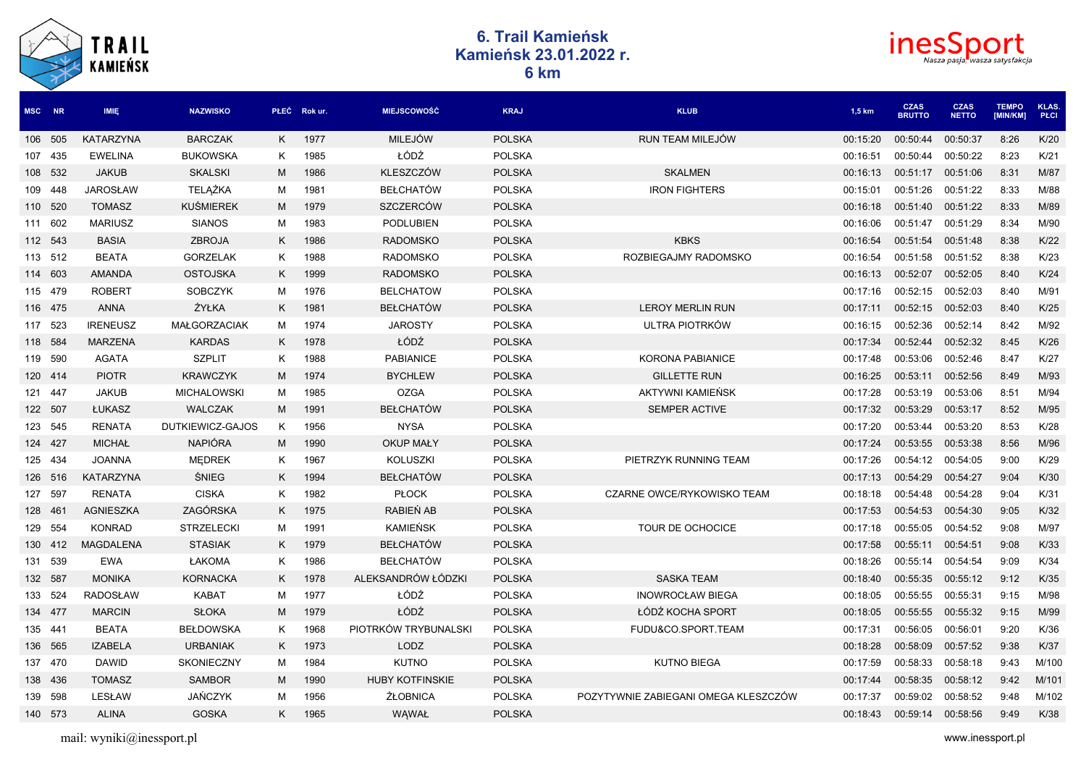|         |         | <b>TRAIL</b><br><b>KAMIEŃSK</b> | <b>6. Trail Kamieńsk</b><br>Kamieńsk 23.01.2022 r.<br>6 km |   |              |                        |               |                                      |          |                              |                             |                          |                      |  |  |  |
|---------|---------|---------------------------------|------------------------------------------------------------|---|--------------|------------------------|---------------|--------------------------------------|----------|------------------------------|-----------------------------|--------------------------|----------------------|--|--|--|
| MSC NR  |         | IMIĘ                            | <b>NAZWISKO</b>                                            |   | PŁEĆ Rok ur. | <b>MIEJSCOWOŚĆ</b>     | <b>KRAJ</b>   | <b>KLUB</b>                          | 1,5 km   | <b>CZAS</b><br><b>BRUTTO</b> | <b>CZAS</b><br><b>NETTO</b> | <b>TEMPO</b><br>[MIN/KM] | KLAS.<br><b>PLCI</b> |  |  |  |
|         | 106 505 | KATARZYNA                       | <b>BARCZAK</b>                                             | K | 1977         | <b>MILEJÓW</b>         | <b>POLSKA</b> | <b>RUN TEAM MILEJOW</b>              | 00:15:20 | 00:50:44                     | 00:50:37                    | 8:26                     | K/20                 |  |  |  |
| 107 435 |         | <b>EWELINA</b>                  | BUKOWSKA                                                   | Κ | 1985         | ŁÓDŹ                   | <b>POLSKA</b> |                                      | 00:16:51 | 00:50:44                     | 00:50:22                    | 8:23                     | K/21                 |  |  |  |
|         | 108 532 | <b>JAKUB</b>                    | <b>SKALSKI</b>                                             | м | 1986         | <b>KLESZCZÓW</b>       | <b>POLSKA</b> | <b>SKALMEN</b>                       | 00:16:13 | 00:51:17                     | 00:51:06                    | 8:31                     | M/87                 |  |  |  |
|         | 109 448 | <b>JAROSŁAW</b>                 | TELĄŻKA                                                    | м | 1981         | <b>BEŁCHATÓW</b>       | <b>POLSKA</b> | <b>IRON FIGHTERS</b>                 | 00:15:01 | 00:51:26                     | 00:51:22                    | 8:33                     | M/88                 |  |  |  |
| 110 520 |         | <b>TOMASZ</b>                   | <b>KUSMIEREK</b>                                           | М | 1979         | SZCZERCÓW              | <b>POLSKA</b> |                                      | 00:16:18 | 00:51:40                     | 00:51:22                    | 8:33                     | M/89                 |  |  |  |
| 111 602 |         | <b>MARIUSZ</b>                  | <b>SIANOS</b>                                              | М | 1983         | PODLUBIEN              | <b>POLSKA</b> |                                      | 00:16:06 | 00:51:47                     | 00:51:29                    | 8:34                     | M/90                 |  |  |  |
| 112 543 |         | <b>BASIA</b>                    | ZBROJA                                                     | K | 1986         | <b>RADOMSKO</b>        | <b>POLSKA</b> | <b>KBKS</b>                          | 00:16:54 | 00:51:54                     | 00:51:48                    | 8:38                     | K/22                 |  |  |  |
| 113 512 |         | <b>BEATA</b>                    | <b>GORZELAK</b>                                            | Κ | 1988         | <b>RADOMSKO</b>        | <b>POLSKA</b> | ROZBIEGAJMY RADOMSKO                 | 00:16:54 | 00:51:58                     | 00:51:52                    | 8:38                     | K/23                 |  |  |  |
| 114 603 |         | AMANDA                          | <b>OSTOJSKA</b>                                            | K | 1999         | <b>RADOMSKO</b>        | <b>POLSKA</b> |                                      | 00:16:13 | 00:52:07                     | 00:52:05                    | 8:40                     | K/24                 |  |  |  |
| 115 479 |         | <b>ROBERT</b>                   | <b>SOBCZYK</b>                                             | м | 1976         | <b>BELCHATOW</b>       | <b>POLSKA</b> |                                      | 00:17:16 | 00:52:15                     | 00:52:03                    | 8:40                     | M/91                 |  |  |  |
| 116 475 |         | <b>ANNA</b>                     | ŻYŁKA                                                      | Κ | 1981         | <b>BEŁCHATÓW</b>       | <b>POLSKA</b> | <b>LEROY MERLIN RUN</b>              | 00:17:11 | 00:52:15                     | 00:52:03                    | 8:40                     | K/25                 |  |  |  |
| 117 523 |         | <b>IRENEUSZ</b>                 | <b>MAŁGORZACIAK</b>                                        | м | 1974         | <b>JAROSTY</b>         | <b>POLSKA</b> | ULTRA PIOTRKÓW                       | 00:16:15 | 00:52:36                     | 00:52:14                    | 8:42                     | M/92                 |  |  |  |
| 118 584 |         | <b>MARZENA</b>                  | <b>KARDAS</b>                                              | K | 1978         | ŁÓDŹ                   | <b>POLSKA</b> |                                      | 00:17:34 | 00:52:44                     | 00:52:32                    | 8:45                     | K/26                 |  |  |  |
| 119 590 |         | <b>AGATA</b>                    | <b>SZPLIT</b>                                              | Κ | 1988         | <b>PABIANICE</b>       | <b>POLSKA</b> | <b>KORONA PABIANICE</b>              | 00:17:48 | 00:53:06                     | 00:52:46                    | 8:47                     | K/27                 |  |  |  |
| 120 414 |         | <b>PIOTR</b>                    | <b>KRAWCZYK</b>                                            | М | 1974         | <b>BYCHLEW</b>         | <b>POLSKA</b> | <b>GILLETTE RUN</b>                  | 00:16:25 | 00:53:11                     | 00:52:56                    | 8:49                     | M/93                 |  |  |  |
| 121 447 |         | <b>JAKUB</b>                    | <b>MICHALOWSKI</b>                                         | м | 1985         | <b>OZGA</b>            | <b>POLSKA</b> | AKTYWNI KAMIEŃSK                     | 00:17:28 | 00:53:19                     | 00:53:06                    | 8:51                     | M/94                 |  |  |  |
| 122 507 |         | ŁUKASZ                          | <b>WALCZAK</b>                                             | М | 1991         | <b>BEŁCHATÓW</b>       | <b>POLSKA</b> | <b>SEMPER ACTIVE</b>                 | 00:17:32 | 00:53:29                     | 00:53:17                    | 8:52                     | M/95                 |  |  |  |
| 123 545 |         | <b>RENATA</b>                   | DUTKIEWICZ-GAJOS                                           | Κ | 1956         | <b>NYSA</b>            | <b>POLSKA</b> |                                      | 00:17:20 | 00:53:44                     | 00:53:20                    | 8:53                     | K/28                 |  |  |  |
| 124 427 |         | <b>MICHAŁ</b>                   | <b>NAPIÓRA</b>                                             | М | 1990         | <b>OKUP MAŁY</b>       | <b>POLSKA</b> |                                      | 00:17:24 | 00:53:55                     | 00:53:38                    | 8:56                     | M/96                 |  |  |  |
| 125 434 |         | <b>JOANNA</b>                   | <b>MEDREK</b>                                              | K | 1967         | KOLUSZKI               | <b>POLSKA</b> | PIETRZYK RUNNING TEAM                | 00:17:26 | 00:54:12                     | 00:54:05                    | 9:00                     | K/29                 |  |  |  |
|         | 126 516 | KATARZYNA                       | ŚNIEG                                                      | K | 1994         | <b>BEŁCHATÓW</b>       | <b>POLSKA</b> |                                      | 00:17:13 | 00:54:29                     | 00:54:27                    | 9:04                     | K/30                 |  |  |  |
| 127 597 |         | <b>RENATA</b>                   | <b>CISKA</b>                                               | Κ | 1982         | <b>PŁOCK</b>           | <b>POLSKA</b> | CZARNE OWCE/RYKOWISKO TEAM           | 00:18:18 | 00:54:48                     | 00:54:28                    | 9:04                     | K/31                 |  |  |  |
| 128 461 |         | AGNIESZKA                       | ZAGÓRSKA                                                   | K | 1975         | RABIEŃ AB              | <b>POLSKA</b> |                                      | 00:17:53 | 00:54:53                     | 00:54:30                    | 9:05                     | K/32                 |  |  |  |
| 129 554 |         | <b>KONRAD</b>                   | <b>STRZELECKI</b>                                          | м | 1991         | <b>KAMIEŃSK</b>        | <b>POLSKA</b> | TOUR DE OCHOCICE                     | 00:17:18 | 00:55:05                     | 00:54:52                    | 9:08                     | M/97                 |  |  |  |
|         | 130 412 | <b>MAGDALENA</b>                | <b>STASIAK</b>                                             | K | 1979         | <b>BEŁCHATÓW</b>       | <b>POLSKA</b> |                                      | 00:17:58 | 00:55:11                     | 00:54:51                    | 9:08                     | K/33                 |  |  |  |
|         | 131 539 | EWA                             | ŁAKOMA                                                     | K | 1986         | <b>BEŁCHATÓW</b>       | <b>POLSKA</b> |                                      | 00:18:26 | 00:55:14                     | 00:54:54                    | 9:09                     | K/34                 |  |  |  |
| 132 587 |         | <b>MONIKA</b>                   | KORNACKA                                                   | Κ | 1978         | ALEKSANDRÓW ŁÓDZKI     | <b>POLSKA</b> | <b>SASKA TEAM</b>                    | 00:18:40 | 00:55:35                     | 00:55:12                    | 9:12                     | K/35                 |  |  |  |
|         | 133 524 | <b>RADOSŁAW</b>                 | <b>KABAT</b>                                               | м | 1977         | ŁÓDŹ                   | <b>POLSKA</b> | <b>INOWROCŁAW BIEGA</b>              | 00:18:05 | 00:55:55                     | 00:55:31                    | 9:15                     | M/98                 |  |  |  |
|         | 134 477 | <b>MARCIN</b>                   | <b>SŁOKA</b>                                               | М | 1979         | ŁÓDŹ                   | <b>POLSKA</b> | ŁÓDŹ KOCHA SPORT                     | 00:18:05 | 00:55:55 00:55:32            |                             | 9:15                     | M/99                 |  |  |  |
| 135 441 |         | <b>BEATA</b>                    | <b>BEŁDOWSKA</b>                                           | K | 1968         | PIOTRKÓW TRYBUNALSKI   | <b>POLSKA</b> | FUDU&CO.SPORT.TEAM                   | 00:17:31 | 00:56:05                     | 00:56:01                    | 9:20                     | K/36                 |  |  |  |
|         | 136 565 | <b>IZABELA</b>                  | <b>URBANIAK</b>                                            | K | 1973         | LODZ                   | <b>POLSKA</b> |                                      | 00:18:28 | 00:58:09                     | 00:57:52                    | 9:38                     | K/37                 |  |  |  |
|         | 137 470 | <b>DAWID</b>                    | SKONIECZNY                                                 | М | 1984         | <b>KUTNO</b>           | <b>POLSKA</b> | <b>KUTNO BIEGA</b>                   | 00:17:59 | 00:58:33                     | 00:58:18                    | 9:43                     | M/100                |  |  |  |
|         | 138 436 | <b>TOMASZ</b>                   | <b>SAMBOR</b>                                              | М | 1990         | <b>HUBY KOTFINSKIE</b> | <b>POLSKA</b> |                                      | 00:17:44 | 00:58:35 00:58:12            |                             | 9:42                     | M/101                |  |  |  |
|         | 139 598 | LESŁAW                          | <b>JAŃCZYK</b>                                             | М | 1956         | ŻŁOBNICA               | <b>POLSKA</b> | POZYTYWNIE ZABIEGANI OMEGA KLESZCZÓW | 00:17:37 | 00:59:02                     | 00:58:52                    | 9:48                     | M/102                |  |  |  |
|         | 140 573 | <b>ALINA</b>                    | <b>GOSKA</b>                                               |   | K 1965       | WĄWAŁ                  | <b>POLSKA</b> |                                      | 00:18:43 | 00:59:14 00:58:56            |                             | 9:49                     | K/38                 |  |  |  |